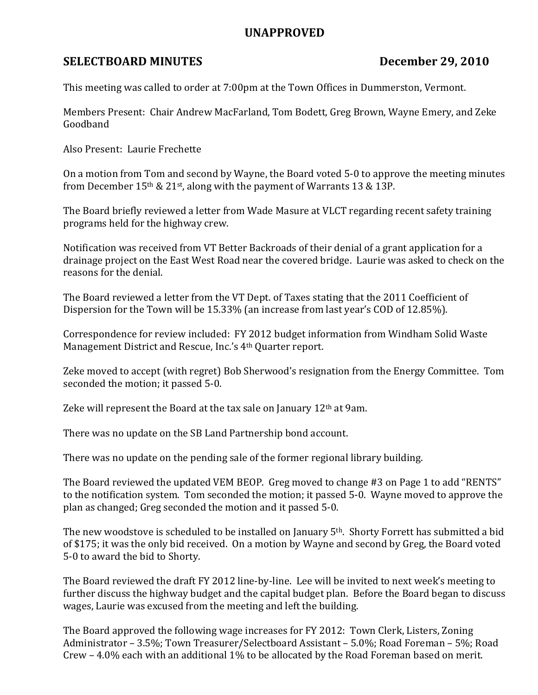## UNAPPROVED

## SELECTBOARD MINUTES December 29, 2010

This meeting was called to order at 7:00pm at the Town Offices in Dummerston, Vermont.

Members Present: Chair Andrew MacFarland, Tom Bodett, Greg Brown, Wayne Emery, and Zeke Goodband

Also Present: Laurie Frechette

On a motion from Tom and second by Wayne, the Board voted 5-0 to approve the meeting minutes from December 15th & 21st, along with the payment of Warrants 13 & 13P.

The Board briefly reviewed a letter from Wade Masure at VLCT regarding recent safety training programs held for the highway crew.

Notification was received from VT Better Backroads of their denial of a grant application for a drainage project on the East West Road near the covered bridge. Laurie was asked to check on the reasons for the denial.

The Board reviewed a letter from the VT Dept. of Taxes stating that the 2011 Coefficient of Dispersion for the Town will be 15.33% (an increase from last year's COD of 12.85%).

Correspondence for review included: FY 2012 budget information from Windham Solid Waste Management District and Rescue, Inc.'s 4th Quarter report.

Zeke moved to accept (with regret) Bob Sherwood's resignation from the Energy Committee. Tom seconded the motion; it passed 5-0.

Zeke will represent the Board at the tax sale on January 12th at 9am.

There was no update on the SB Land Partnership bond account.

There was no update on the pending sale of the former regional library building.

The Board reviewed the updated VEM BEOP. Greg moved to change #3 on Page 1 to add "RENTS" to the notification system. Tom seconded the motion; it passed 5-0. Wayne moved to approve the plan as changed; Greg seconded the motion and it passed 5-0.

The new woodstove is scheduled to be installed on January 5<sup>th</sup>. Shorty Forrett has submitted a bid of \$175; it was the only bid received. On a motion by Wayne and second by Greg, the Board voted 5-0 to award the bid to Shorty.

The Board reviewed the draft FY 2012 line-by-line. Lee will be invited to next week's meeting to further discuss the highway budget and the capital budget plan. Before the Board began to discuss wages, Laurie was excused from the meeting and left the building.

The Board approved the following wage increases for FY 2012: Town Clerk, Listers, Zoning Administrator – 3.5%; Town Treasurer/Selectboard Assistant – 5.0%; Road Foreman – 5%; Road Crew – 4.0% each with an additional 1% to be allocated by the Road Foreman based on merit.